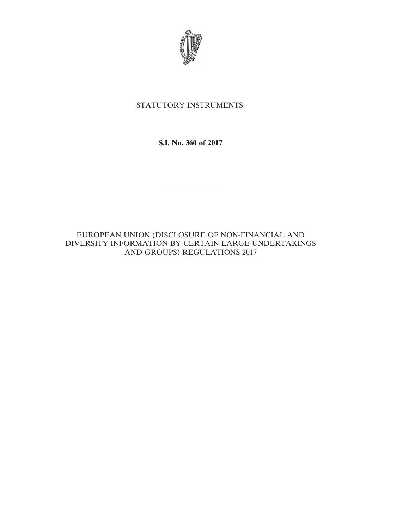

# STATUTORY INSTRUMENTS.

**S.I. No. 360 of 2017**

————————

EUROPEAN UNION (DISCLOSURE OF NON-FINANCIAL AND DIVERSITY INFORMATION BY CERTAIN LARGE UNDERTAKINGS AND GROUPS) REGULATIONS 2017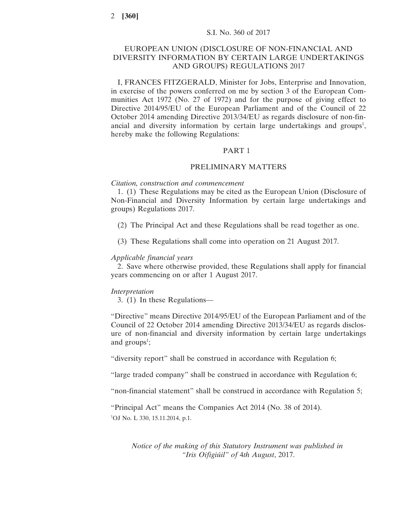# EUROPEAN UNION (DISCLOSURE OF NON-FINANCIAL AND DIVERSITY INFORMATION BY CERTAIN LARGE UNDERTAKINGS AND GROUPS) REGULATIONS 2017

I, FRANCES FITZGERALD, Minister for Jobs, Enterprise and Innovation, in exercise of the powers conferred on me by section 3 of the European Communities Act 1972 (No. 27 of 1972) and for the purpose of giving effect to Directive 2014/95/EU of the European Parliament and of the Council of 22 October 2014 amending Directive 2013/34/EU as regards disclosure of non-financial and diversity information by certain large undertakings and groups<sup>1</sup>, hereby make the following Regulations:

### PART 1

# PRELIMINARY MATTERS

#### *Citation, construction and commencement*

1. (1) These Regulations may be cited as the European Union (Disclosure of Non-Financial and Diversity Information by certain large undertakings and groups) Regulations 2017.

(2) The Principal Act and these Regulations shall be read together as one.

(3) These Regulations shall come into operation on 21 August 2017.

#### *Applicable financial years*

2. Save where otherwise provided, these Regulations shall apply for financial years commencing on or after 1 August 2017.

#### *Interpretation*

3. (1) In these Regulations—

"Directive" means Directive 2014/95/EU of the European Parliament and of the Council of 22 October 2014 amending Directive 2013/34/EU as regards disclosure of non-financial and diversity information by certain large undertakings and  $\text{groups}^1$ ;

"diversity report" shall be construed in accordance with Regulation 6;

"large traded company" shall be construed in accordance with Regulation 6;

"non-financial statement" shall be construed in accordance with Regulation 5;

"Principal Act" means the Companies Act 2014 (No. 38 of 2014). <sup>1</sup>OJ No. L 330, 15.11.2014, p.1.

*Notice of the making of this Statutory Instrument was published in "Iris Oifigiúil" of* 4*th August*, 2017.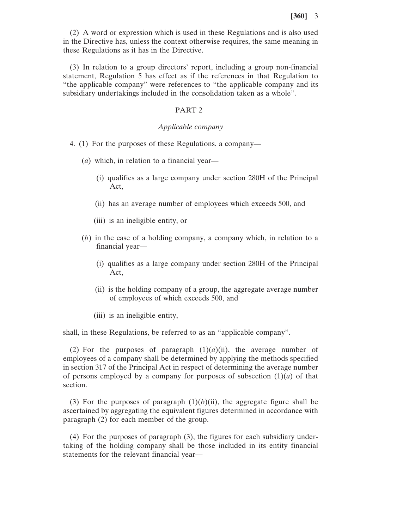(2) A word or expression which is used in these Regulations and is also used in the Directive has, unless the context otherwise requires, the same meaning in these Regulations as it has in the Directive.

(3) In relation to a group directors' report, including a group non-financial statement, Regulation 5 has effect as if the references in that Regulation to "the applicable company" were references to "the applicable company and its subsidiary undertakings included in the consolidation taken as a whole".

# PART 2

#### *Applicable company*

- 4. (1) For the purposes of these Regulations, a company—
	- (*a*) which, in relation to a financial year—
		- (i) qualifies as a large company under section 280H of the Principal Act,
		- (ii) has an average number of employees which exceeds 500, and
		- (iii) is an ineligible entity, or
	- (*b*) in the case of a holding company, a company which, in relation to a financial year—
		- (i) qualifies as a large company under section 280H of the Principal Act,
		- (ii) is the holding company of a group, the aggregate average number of employees of which exceeds 500, and
		- (iii) is an ineligible entity,

shall, in these Regulations, be referred to as an "applicable company".

(2) For the purposes of paragraph  $(1)(a)(ii)$ , the average number of employees of a company shall be determined by applying the methods specified in section 317 of the Principal Act in respect of determining the average number of persons employed by a company for purposes of subsection  $(1)(a)$  of that section.

(3) For the purposes of paragraph  $(1)(b)(ii)$ , the aggregate figure shall be ascertained by aggregating the equivalent figures determined in accordance with paragraph (2) for each member of the group.

(4) For the purposes of paragraph (3), the figures for each subsidiary undertaking of the holding company shall be those included in its entity financial statements for the relevant financial year—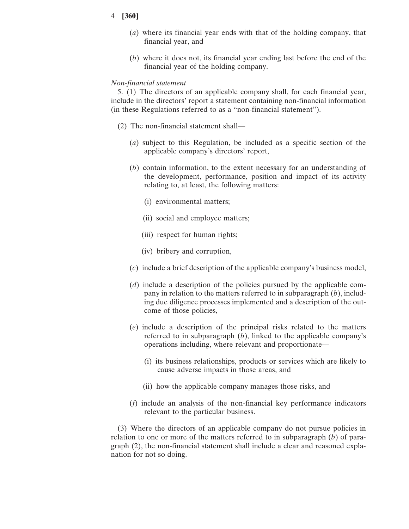- (*a*) where its financial year ends with that of the holding company, that financial year, and
- (*b*) where it does not, its financial year ending last before the end of the financial year of the holding company.

#### *Non-financial statement*

5. (1) The directors of an applicable company shall, for each financial year, include in the directors' report a statement containing non-financial information (in these Regulations referred to as a "non-financial statement").

- (2) The non-financial statement shall—
	- (*a*) subject to this Regulation, be included as a specific section of the applicable company's directors' report,
	- (*b*) contain information, to the extent necessary for an understanding of the development, performance, position and impact of its activity relating to, at least, the following matters:
		- (i) environmental matters;
		- (ii) social and employee matters;
		- (iii) respect for human rights;
		- (iv) bribery and corruption,
	- (*c*) include a brief description of the applicable company's business model,
	- (*d*) include a description of the policies pursued by the applicable company in relation to the matters referred to in subparagraph (*b*), including due diligence processes implemented and a description of the outcome of those policies,
	- (*e*) include a description of the principal risks related to the matters referred to in subparagraph (*b*), linked to the applicable company's operations including, where relevant and proportionate—
		- (i) its business relationships, products or services which are likely to cause adverse impacts in those areas, and
		- (ii) how the applicable company manages those risks, and
	- (*f*) include an analysis of the non-financial key performance indicators relevant to the particular business.

(3) Where the directors of an applicable company do not pursue policies in relation to one or more of the matters referred to in subparagraph (*b*) of paragraph (2), the non-financial statement shall include a clear and reasoned explanation for not so doing.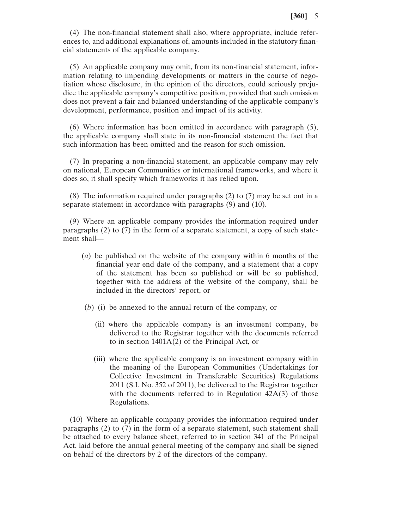(4) The non-financial statement shall also, where appropriate, include references to, and additional explanations of, amounts included in the statutory financial statements of the applicable company.

(5) An applicable company may omit, from its non-financial statement, information relating to impending developments or matters in the course of negotiation whose disclosure, in the opinion of the directors, could seriously prejudice the applicable company's competitive position, provided that such omission does not prevent a fair and balanced understanding of the applicable company's development, performance, position and impact of its activity.

(6) Where information has been omitted in accordance with paragraph (5), the applicable company shall state in its non-financial statement the fact that such information has been omitted and the reason for such omission.

(7) In preparing a non-financial statement, an applicable company may rely on national, European Communities or international frameworks, and where it does so, it shall specify which frameworks it has relied upon.

(8) The information required under paragraphs (2) to (7) may be set out in a separate statement in accordance with paragraphs (9) and (10).

(9) Where an applicable company provides the information required under paragraphs (2) to (7) in the form of a separate statement, a copy of such statement shall—

- (*a*) be published on the website of the company within 6 months of the financial year end date of the company, and a statement that a copy of the statement has been so published or will be so published, together with the address of the website of the company, shall be included in the directors' report, or
- (*b*) (i) be annexed to the annual return of the company, or
	- (ii) where the applicable company is an investment company, be delivered to the Registrar together with the documents referred to in section 1401A(2) of the Principal Act, or
	- (iii) where the applicable company is an investment company within the meaning of the European Communities (Undertakings for Collective Investment in Transferable Securities) Regulations 2011 (S.I. No. 352 of 2011), be delivered to the Registrar together with the documents referred to in Regulation 42A(3) of those Regulations.

(10) Where an applicable company provides the information required under paragraphs (2) to (7) in the form of a separate statement, such statement shall be attached to every balance sheet, referred to in section 341 of the Principal Act, laid before the annual general meeting of the company and shall be signed on behalf of the directors by 2 of the directors of the company.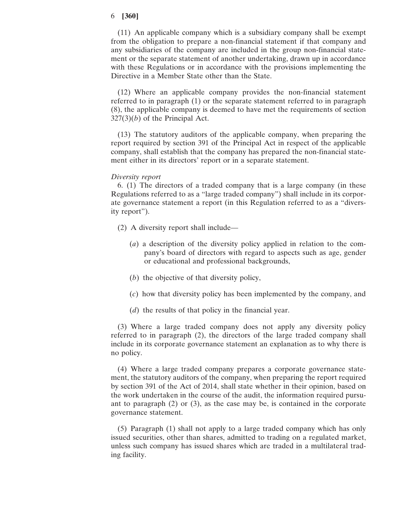(11) An applicable company which is a subsidiary company shall be exempt from the obligation to prepare a non-financial statement if that company and any subsidiaries of the company are included in the group non-financial statement or the separate statement of another undertaking, drawn up in accordance with these Regulations or in accordance with the provisions implementing the Directive in a Member State other than the State.

(12) Where an applicable company provides the non-financial statement referred to in paragraph (1) or the separate statement referred to in paragraph (8), the applicable company is deemed to have met the requirements of section 327(3)(*b*) of the Principal Act.

(13) The statutory auditors of the applicable company, when preparing the report required by section 391 of the Principal Act in respect of the applicable company, shall establish that the company has prepared the non-financial statement either in its directors' report or in a separate statement.

## *Diversity report*

6. (1) The directors of a traded company that is a large company (in these Regulations referred to as a "large traded company") shall include in its corporate governance statement a report (in this Regulation referred to as a "diversity report").

- (2) A diversity report shall include—
	- (*a*) a description of the diversity policy applied in relation to the company's board of directors with regard to aspects such as age, gender or educational and professional backgrounds,
	- (*b*) the objective of that diversity policy,
	- (*c*) how that diversity policy has been implemented by the company, and
	- (*d*) the results of that policy in the financial year.

(3) Where a large traded company does not apply any diversity policy referred to in paragraph (2), the directors of the large traded company shall include in its corporate governance statement an explanation as to why there is no policy.

(4) Where a large traded company prepares a corporate governance statement, the statutory auditors of the company, when preparing the report required by section 391 of the Act of 2014, shall state whether in their opinion, based on the work undertaken in the course of the audit, the information required pursuant to paragraph (2) or (3), as the case may be, is contained in the corporate governance statement.

(5) Paragraph (1) shall not apply to a large traded company which has only issued securities, other than shares, admitted to trading on a regulated market, unless such company has issued shares which are traded in a multilateral trading facility.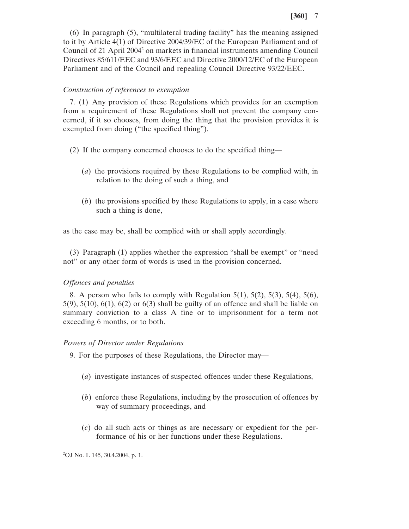(6) In paragraph (5), "multilateral trading facility" has the meaning assigned to it by Article 4(1) of Directive 2004/39/EC of the European Parliament and of Council of 21 April 20042 on markets in financial instruments amending Council Directives 85/611/EEC and 93/6/EEC and Directive 2000/12/EC of the European Parliament and of the Council and repealing Council Directive 93/22/EEC.

### *Construction of references to exemption*

7. (1) Any provision of these Regulations which provides for an exemption from a requirement of these Regulations shall not prevent the company concerned, if it so chooses, from doing the thing that the provision provides it is exempted from doing ("the specified thing").

- (2) If the company concerned chooses to do the specified thing—
	- (*a*) the provisions required by these Regulations to be complied with, in relation to the doing of such a thing, and
	- (*b*) the provisions specified by these Regulations to apply, in a case where such a thing is done,

as the case may be, shall be complied with or shall apply accordingly.

(3) Paragraph (1) applies whether the expression "shall be exempt" or "need not" or any other form of words is used in the provision concerned.

# *Offences and penalties*

8. A person who fails to comply with Regulation  $5(1)$ ,  $5(2)$ ,  $5(3)$ ,  $5(4)$ ,  $5(6)$ ,  $5(9)$ ,  $5(10)$ ,  $6(1)$ ,  $6(2)$  or  $6(3)$  shall be guilty of an offence and shall be liable on summary conviction to a class A fine or to imprisonment for a term not exceeding 6 months, or to both.

#### *Powers of Director under Regulations*

9. For the purposes of these Regulations, the Director may—

- (*a*) investigate instances of suspected offences under these Regulations,
- (*b*) enforce these Regulations, including by the prosecution of offences by way of summary proceedings, and
- (*c*) do all such acts or things as are necessary or expedient for the performance of his or her functions under these Regulations.

2 OJ No. L 145, 30.4.2004, p. 1.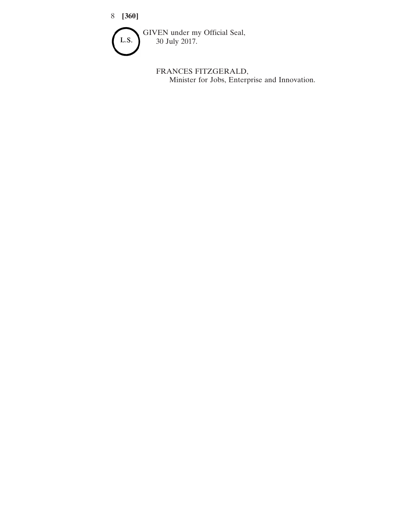

FRANCES FITZGERALD, Minister for Jobs, Enterprise and Innovation.